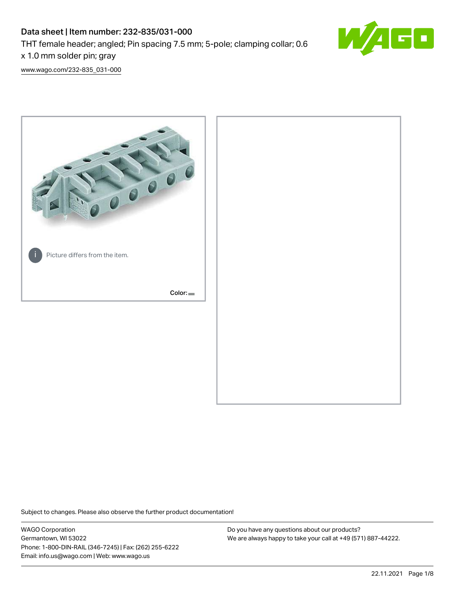# Data sheet | Item number: 232-835/031-000

THT female header; angled; Pin spacing 7.5 mm; 5-pole; clamping collar; 0.6

x 1.0 mm solder pin; gray

[www.wago.com/232-835\\_031-000](http://www.wago.com/232-835_031-000)



Subject to changes. Please also observe the further product documentation!

WAGO Corporation Germantown, WI 53022 Phone: 1-800-DIN-RAIL (346-7245) | Fax: (262) 255-6222 Email: info.us@wago.com | Web: www.wago.us

Do you have any questions about our products? We are always happy to take your call at +49 (571) 887-44222.

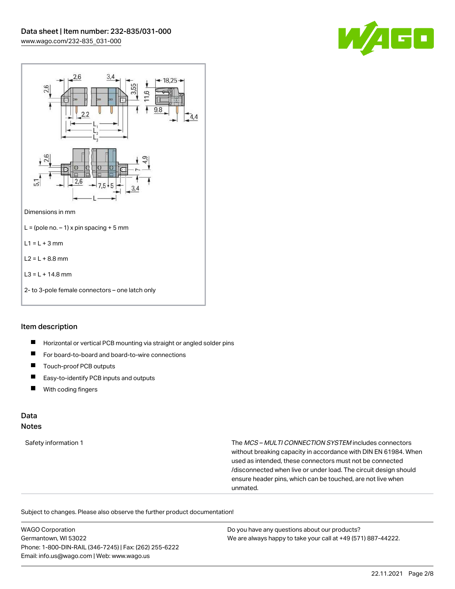



#### Item description

- $\blacksquare$ Horizontal or vertical PCB mounting via straight or angled solder pins
- $\blacksquare$ For board-to-board and board-to-wire connections
- П Touch-proof PCB outputs
- $\blacksquare$ Easy-to-identify PCB inputs and outputs
- With coding fingers  $\blacksquare$

#### Data Notes

Safety information 1 The MCS – MULTI CONNECTION SYSTEM includes connectors without breaking capacity in accordance with DIN EN 61984. When used as intended, these connectors must not be connected /disconnected when live or under load. The circuit design should ensure header pins, which can be touched, are not live when unmated.

Subject to changes. Please also observe the further product documentation!

WAGO Corporation Germantown, WI 53022 Phone: 1-800-DIN-RAIL (346-7245) | Fax: (262) 255-6222 Email: info.us@wago.com | Web: www.wago.us Do you have any questions about our products? We are always happy to take your call at +49 (571) 887-44222.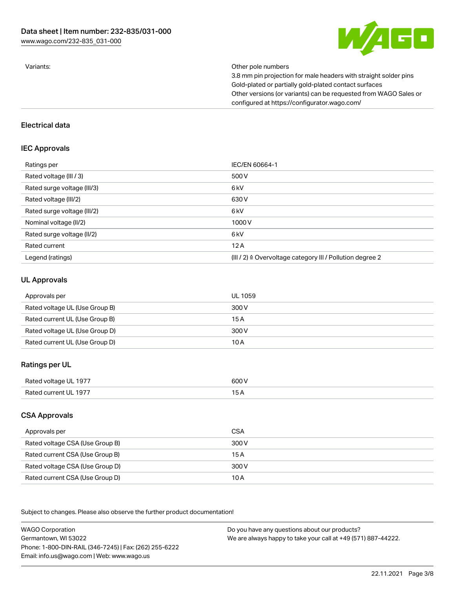

Variants: Other pole numbers

3.8 mm pin projection for male headers with straight solder pins Gold-plated or partially gold-plated contact surfaces Other versions (or variants) can be requested from WAGO Sales or configured at https://configurator.wago.com/

#### Electrical data

# IEC Approvals

| Ratings per                 | IEC/EN 60664-1                                                        |
|-----------------------------|-----------------------------------------------------------------------|
| Rated voltage (III / 3)     | 500 V                                                                 |
| Rated surge voltage (III/3) | 6 <sub>kV</sub>                                                       |
| Rated voltage (III/2)       | 630 V                                                                 |
| Rated surge voltage (III/2) | 6 kV                                                                  |
| Nominal voltage (II/2)      | 1000V                                                                 |
| Rated surge voltage (II/2)  | 6 <sub>kV</sub>                                                       |
| Rated current               | 12A                                                                   |
| Legend (ratings)            | $(III / 2)$ $\triangle$ Overvoltage category III / Pollution degree 2 |

### UL Approvals

| Approvals per                  | UL 1059 |
|--------------------------------|---------|
| Rated voltage UL (Use Group B) | 300 V   |
| Rated current UL (Use Group B) | 15 A    |
| Rated voltage UL (Use Group D) | 300 V   |
| Rated current UL (Use Group D) | 10 A    |

# Ratings per UL

| $ -$<br>Rated voltage UL 1977 | 600 V |
|-------------------------------|-------|
| Rated current UL 1977         | . .   |
|                               | ___   |

# CSA Approvals

| Approvals per                   | CSA   |
|---------------------------------|-------|
| Rated voltage CSA (Use Group B) | 300 V |
| Rated current CSA (Use Group B) | 15 A  |
| Rated voltage CSA (Use Group D) | 300 V |
| Rated current CSA (Use Group D) | 10 A  |

.<br>Subject to changes. Please also observe the further product documentation!

WAGO Corporation Germantown, WI 53022 Phone: 1-800-DIN-RAIL (346-7245) | Fax: (262) 255-6222 Email: info.us@wago.com | Web: www.wago.us Do you have any questions about our products? We are always happy to take your call at +49 (571) 887-44222.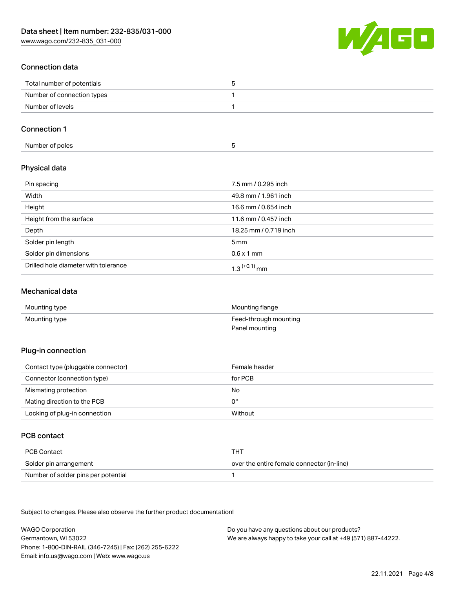[www.wago.com/232-835\\_031-000](http://www.wago.com/232-835_031-000)



# Connection data

| Total number of potentials |  |
|----------------------------|--|
| Number of connection types |  |
| Number of levels           |  |

# Connection 1

| Number of poles |
|-----------------|
|-----------------|

# Physical data

| Pin spacing                          | 7.5 mm / 0.295 inch        |
|--------------------------------------|----------------------------|
| Width                                | 49.8 mm / 1.961 inch       |
| Height                               | 16.6 mm / 0.654 inch       |
| Height from the surface              | 11.6 mm / 0.457 inch       |
| Depth                                | 18.25 mm / 0.719 inch      |
| Solder pin length                    | $5 \,\mathrm{mm}$          |
| Solder pin dimensions                | $0.6 \times 1$ mm          |
| Drilled hole diameter with tolerance | $1.3$ <sup>(+0.1)</sup> mm |

### Mechanical data

| Mounting type | Mounting flange       |
|---------------|-----------------------|
| Mounting type | Feed-through mounting |
|               | Panel mounting        |

#### Plug-in connection

| Contact type (pluggable connector) | Female header |
|------------------------------------|---------------|
| Connector (connection type)        | for PCB       |
| Mismating protection               | No            |
| Mating direction to the PCB        | 0°            |
| Locking of plug-in connection      | Without       |

# PCB contact

| PCB Contact                         | тнт                                        |
|-------------------------------------|--------------------------------------------|
| Solder pin arrangement              | over the entire female connector (in-line) |
| Number of solder pins per potential |                                            |

Subject to changes. Please also observe the further product documentation!

WAGO Corporation Germantown, WI 53022 Phone: 1-800-DIN-RAIL (346-7245) | Fax: (262) 255-6222 Email: info.us@wago.com | Web: www.wago.us Do you have any questions about our products? We are always happy to take your call at +49 (571) 887-44222.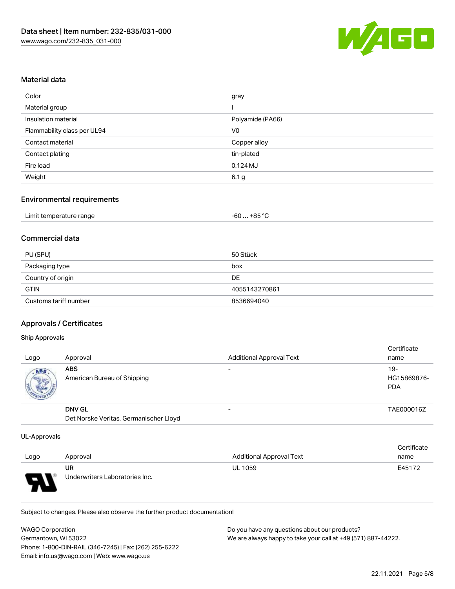

### Material data

| Color                       | gray             |
|-----------------------------|------------------|
| Material group              |                  |
| Insulation material         | Polyamide (PA66) |
| Flammability class per UL94 | V <sub>0</sub>   |
| Contact material            | Copper alloy     |
| Contact plating             | tin-plated       |
| Fire load                   | 0.124MJ          |
| Weight                      | 6.1 <sub>g</sub> |

#### Environmental requirements

| Limit temperature range | $-60+85 °C$ |
|-------------------------|-------------|
|-------------------------|-------------|

### Commercial data

| PU (SPU)              | 50 Stück      |
|-----------------------|---------------|
| Packaging type        | box           |
| Country of origin     | DE            |
| <b>GTIN</b>           | 4055143270861 |
| Customs tariff number | 8536694040    |

# Approvals / Certificates

#### Ship Approvals

| Logo      | Approval                                  | <b>Additional Approval Text</b> | Certificate<br>name              |
|-----------|-------------------------------------------|---------------------------------|----------------------------------|
| ABS<br>电炉 | <b>ABS</b><br>American Bureau of Shipping | $\overline{\phantom{0}}$        | 19-<br>HG15869876-<br><b>PDA</b> |
|           | <b>DNV GL</b>                             | $\overline{\phantom{0}}$        | TAE000016Z                       |
|           | Det Norske Veritas, Germanischer Lloyd    |                                 |                                  |

#### UL-Approvals

| Logo | Approval                             | <b>Additional Approval Text</b> | Certificate<br>name |
|------|--------------------------------------|---------------------------------|---------------------|
| J    | UR<br>Underwriters Laboratories Inc. | <b>UL 1059</b>                  | E45172              |

Subject to changes. Please also observe the further product documentation!

| WAGO Corporation                                       | Do you have any questions about our products?                 |
|--------------------------------------------------------|---------------------------------------------------------------|
| Germantown. WI 53022                                   | We are always happy to take your call at +49 (571) 887-44222. |
| Phone: 1-800-DIN-RAIL (346-7245)   Fax: (262) 255-6222 |                                                               |
| Email: info.us@wago.com   Web: www.wago.us             |                                                               |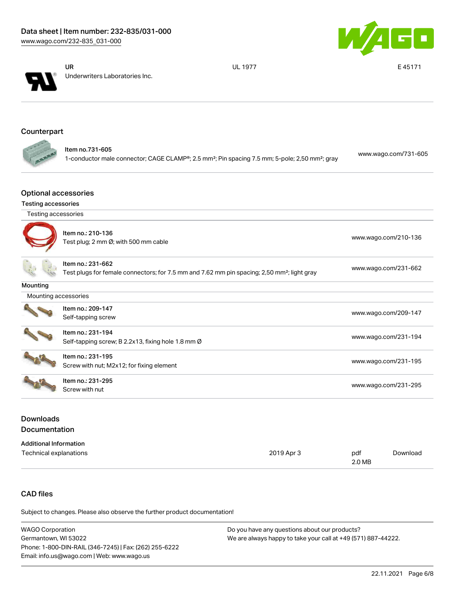



UR Underwriters Laboratories Inc. UL 1977 E 45171

# **Counterpart**

| ltem no.731-605                                                                                                        | www.wago.com/731-605 |
|------------------------------------------------------------------------------------------------------------------------|----------------------|
| 1-conductor male connector; CAGE CLAMP®; 2.5 mm <sup>2</sup> ; Pin spacing 7.5 mm; 5-pole; 2,50 mm <sup>2</sup> ; gray |                      |

### Optional accessories

#### Testing accessories

Testing accessories

G

|                      | Item no.: 210-136<br>Test plug; 2 mm Ø; with 500 mm cable                                                                    | www.wago.com/210-136 |
|----------------------|------------------------------------------------------------------------------------------------------------------------------|----------------------|
|                      | Item no.: 231-662<br>Test plugs for female connectors; for 7.5 mm and 7.62 mm pin spacing; 2,50 mm <sup>2</sup> ; light gray | www.wago.com/231-662 |
| Mounting             |                                                                                                                              |                      |
| Mounting accessories |                                                                                                                              |                      |
|                      | Item no.: 209-147<br>Self-tapping screw                                                                                      | www.wago.com/209-147 |
|                      | Item no.: 231-194<br>Self-tapping screw; B 2.2x13, fixing hole 1.8 mm Ø                                                      | www.wago.com/231-194 |
|                      | Item no.: 231-195<br>Screw with nut; M2x12; for fixing element                                                               | www.wago.com/231-195 |
|                      | Item no.: 231-295<br>Screw with nut                                                                                          | www.wago.com/231-295 |

# Downloads Documentation

| <b>Additional Information</b> |            |        |          |
|-------------------------------|------------|--------|----------|
| Technical explanations        | 2019 Apr 3 | pdf    | Download |
|                               |            | 2.0 MB |          |

# CAD files

Subject to changes. Please also observe the further product documentation!

| <b>WAGO Corporation</b>                                | Do you have any questions about our products?                 |
|--------------------------------------------------------|---------------------------------------------------------------|
| Germantown, WI 53022                                   | We are always happy to take your call at +49 (571) 887-44222. |
| Phone: 1-800-DIN-RAIL (346-7245)   Fax: (262) 255-6222 |                                                               |
| Email: info.us@wago.com   Web: www.wago.us             |                                                               |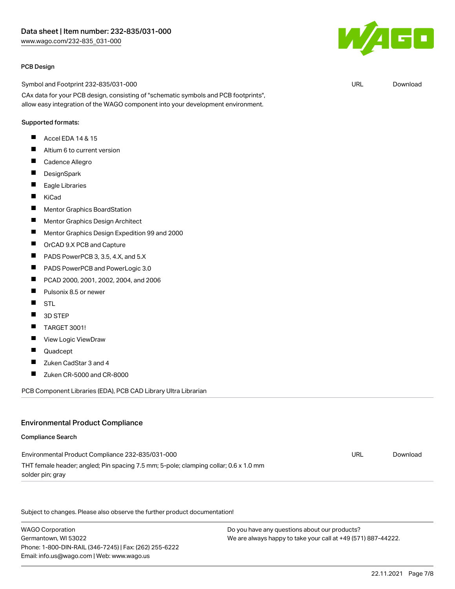#### PCB Design

Symbol and Footprint 232-835/031-000

CAx data for your PCB design, consisting of "schematic symbols and PCB footprints", allow easy integration of the WAGO component into your development environment.

#### Supported formats:

- Accel EDA 14 & 15 П
- $\blacksquare$ Altium 6 to current version
- $\blacksquare$ Cadence Allegro
- $\blacksquare$ **DesignSpark**
- $\blacksquare$ Eagle Libraries
- $\blacksquare$ KiCad
- $\blacksquare$ Mentor Graphics BoardStation
- $\blacksquare$ Mentor Graphics Design Architect
- $\blacksquare$ Mentor Graphics Design Expedition 99 and 2000
- $\blacksquare$ OrCAD 9.X PCB and Capture
- $\blacksquare$ PADS PowerPCB 3, 3.5, 4.X, and 5.X
- $\blacksquare$ PADS PowerPCB and PowerLogic 3.0
- $\blacksquare$ PCAD 2000, 2001, 2002, 2004, and 2006
- $\blacksquare$ Pulsonix 8.5 or newer
- $\blacksquare$ STL
- $\blacksquare$ 3D STEP
- $\blacksquare$ TARGET 3001!
- $\blacksquare$ View Logic ViewDraw
- $\blacksquare$ Quadcept
- $\blacksquare$ Zuken CadStar 3 and 4
- Zuken CR-5000 and CR-8000 П

PCB Component Libraries (EDA), PCB CAD Library Ultra Librarian

#### Environmental Product Compliance

# Compliance Search Environmental Product Compliance 232-835/031-000 THT female header; angled; Pin spacing 7.5 mm; 5-pole; clamping collar; 0.6 x 1.0 mm solder pin; gray URL [Download](https://www.wago.com/global/d/ComplianceLinkMediaContainer_232-835_031-000)

Subject to changes. Please also observe the further product documentation!

WAGO Corporation Germantown, WI 53022 Phone: 1-800-DIN-RAIL (346-7245) | Fax: (262) 255-6222 Email: info.us@wago.com | Web: www.wago.us

Do you have any questions about our products? We are always happy to take your call at +49 (571) 887-44222.



URL [Download](https://www.wago.com/global/d/UltraLibrarian_URLS_232-835_031-000)